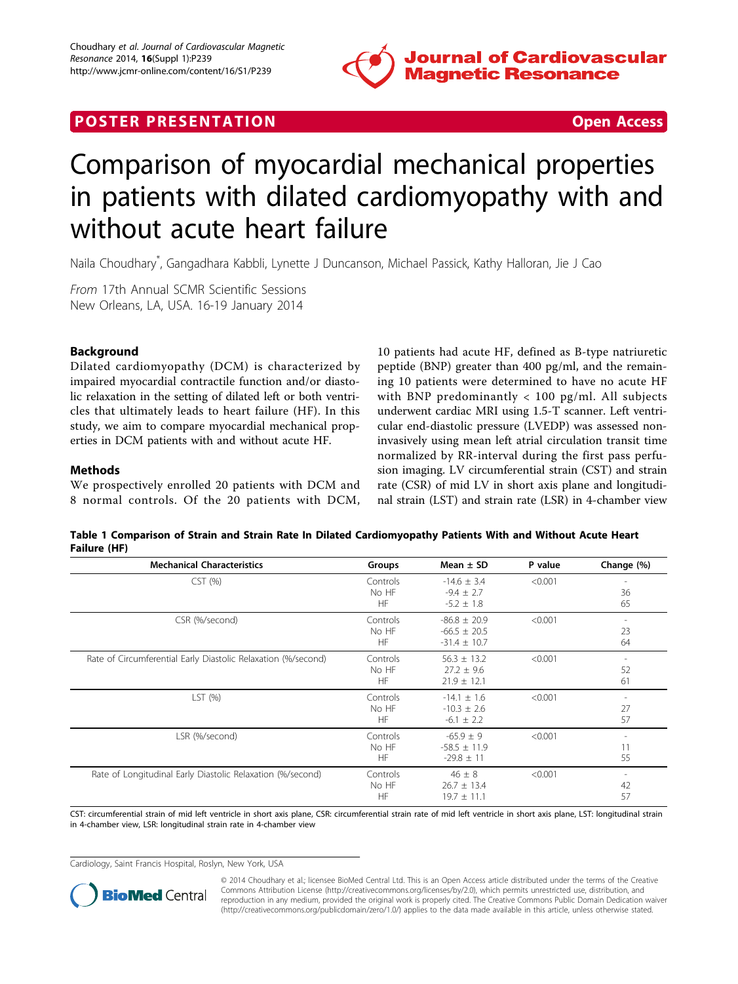

## <span id="page-0-0"></span>**POSTER PRESENTATION CONSUMING THE SERVICE SERVICE SERVICES**



# Comparison of myocardial mechanical properties in patients with dilated cardiomyopathy with and without acute heart failure

Naila Choudhary\* , Gangadhara Kabbli, Lynette J Duncanson, Michael Passick, Kathy Halloran, Jie J Cao

From 17th Annual SCMR Scientific Sessions New Orleans, LA, USA. 16-19 January 2014

### Background

Dilated cardiomyopathy (DCM) is characterized by impaired myocardial contractile function and/or diastolic relaxation in the setting of dilated left or both ventricles that ultimately leads to heart failure (HF). In this study, we aim to compare myocardial mechanical properties in DCM patients with and without acute HF.

#### Methods

We prospectively enrolled 20 patients with DCM and 8 normal controls. Of the 20 patients with DCM,

10 patients had acute HF, defined as B-type natriuretic peptide (BNP) greater than 400 pg/ml, and the remaining 10 patients were determined to have no acute HF with BNP predominantly < 100 pg/ml. All subjects underwent cardiac MRI using 1.5-T scanner. Left ventricular end-diastolic pressure (LVEDP) was assessed noninvasively using mean left atrial circulation transit time normalized by RR-interval during the first pass perfusion imaging. LV circumferential strain (CST) and strain rate (CSR) of mid LV in short axis plane and longitudinal strain (LST) and strain rate (LSR) in 4-chamber view

Table 1 Comparison of Strain and Strain Rate In Dilated Cardiomyopathy Patients With and Without Acute Heart Failure (HF)

| <b>Mechanical Characteristics</b>                             | Groups                         | Mean $\pm$ SD                                            | P value | Change (%)                           |
|---------------------------------------------------------------|--------------------------------|----------------------------------------------------------|---------|--------------------------------------|
| CST(%)                                                        | Controls<br>No HF<br><b>HF</b> | $-14.6 \pm 3.4$<br>$-9.4 \pm 2.7$<br>$-5.2 \pm 1.8$      | < 0.001 | 36<br>65                             |
| CSR (%/second)                                                | Controls<br>No HF<br><b>HF</b> | $-86.8 \pm 20.9$<br>$-66.5 \pm 20.5$<br>$-31.4 \pm 10.7$ | < 0.001 | 23<br>64                             |
| Rate of Circumferential Early Diastolic Relaxation (%/second) | Controls<br>No HF<br><b>HF</b> | $56.3 \pm 13.2$<br>$27.2 + 9.6$<br>$21.9 \pm 12.1$       | < 0.001 | 52<br>61                             |
| LST $(% )$                                                    | Controls<br>No HF<br>HF        | $-14.1 \pm 1.6$<br>$-10.3 \pm 2.6$<br>$-6.1 \pm 2.2$     | < 0.001 | $\overline{\phantom{a}}$<br>27<br>57 |
| LSR (%/second)                                                | Controls<br>No HF<br>HF        | $-65.9 \pm 9$<br>$-58.5 \pm 11.9$<br>$-29.8 \pm 11$      | < 0.001 | 11<br>55                             |
| Rate of Longitudinal Early Diastolic Relaxation (%/second)    | Controls<br>No HF<br>HF        | $46 \pm 8$<br>$26.7 + 13.4$<br>$19.7 \pm 11.1$           | < 0.001 | 42<br>57                             |

CST: circumferential strain of mid left ventricle in short axis plane, CSR: circumferential strain rate of mid left ventricle in short axis plane, LST: longitudinal strain in 4-chamber view, LSR: longitudinal strain rate in 4-chamber view

Cardiology, Saint Francis Hospital, Roslyn, New York, USA



© 2014 Choudhary et al.; licensee BioMed Central Ltd. This is an Open Access article distributed under the terms of the Creative Commons Attribution License [\(http://creativecommons.org/licenses/by/2.0](http://creativecommons.org/licenses/by/2.0)), which permits unrestricted use, distribution, and reproduction in any medium, provided the original work is properly cited. The Creative Commons Public Domain Dedication waiver [\(http://creativecommons.org/publicdomain/zero/1.0/](http://creativecommons.org/publicdomain/zero/1.0/)) applies to the data made available in this article, unless otherwise stated.